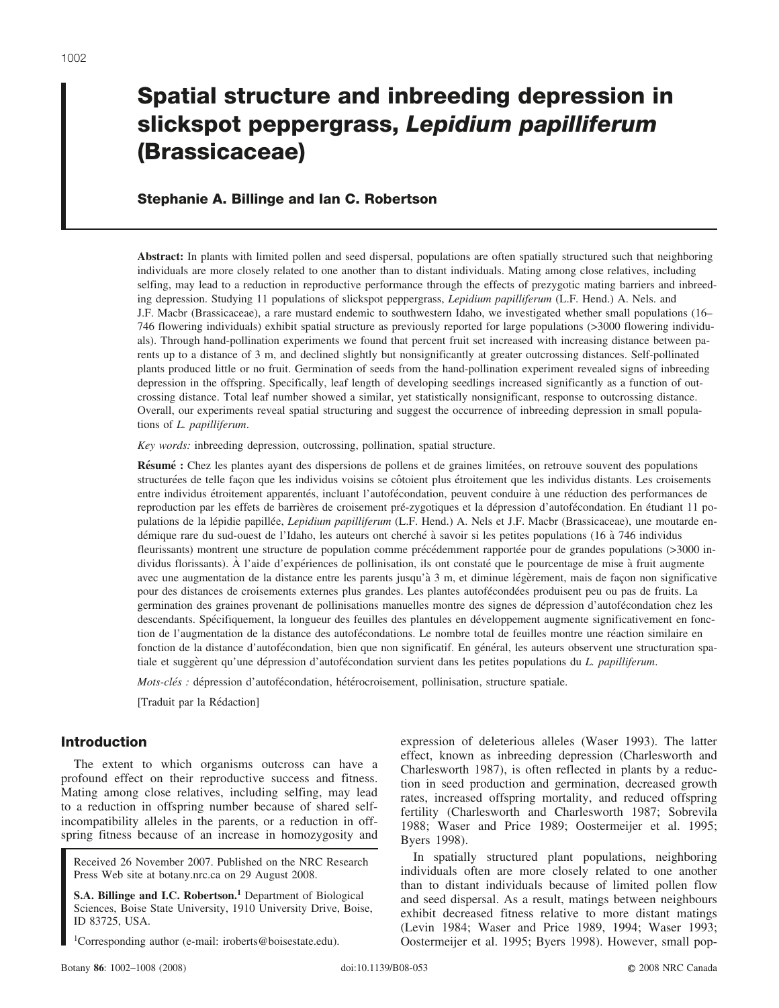# **Spatial structure and inbreeding depression in slickspot peppergrass,** *Lepidium papilliferum* **(Brassicaceae)**

## **Stephanie A. Billinge and Ian C. Robertson**

**Abstract:** In plants with limited pollen and seed dispersal, populations are often spatially structured such that neighboring individuals are more closely related to one another than to distant individuals. Mating among close relatives, including selfing, may lead to a reduction in reproductive performance through the effects of prezygotic mating barriers and inbreeding depression. Studying 11 populations of slickspot peppergrass, *Lepidium papilliferum* (L.F. Hend.) A. Nels. and J.F. Macbr (Brassicaceae), a rare mustard endemic to southwestern Idaho, we investigated whether small populations (16– 746 flowering individuals) exhibit spatial structure as previously reported for large populations (>3000 flowering individuals). Through hand-pollination experiments we found that percent fruit set increased with increasing distance between parents up to a distance of 3 m, and declined slightly but nonsignificantly at greater outcrossing distances. Self-pollinated plants produced little or no fruit. Germination of seeds from the hand-pollination experiment revealed signs of inbreeding depression in the offspring. Specifically, leaf length of developing seedlings increased significantly as a function of outcrossing distance. Total leaf number showed a similar, yet statistically nonsignificant, response to outcrossing distance. Overall, our experiments reveal spatial structuring and suggest the occurrence of inbreeding depression in small populations of *L. papilliferum*.

*Key words:* inbreeding depression, outcrossing, pollination, spatial structure.

**Résumé :** Chez les plantes ayant des dispersions de pollens et de graines limitées, on retrouve souvent des populations structurées de telle façon que les individus voisins se côtoient plus étroitement que les individus distants. Les croisements entre individus étroitement apparentés, incluant l'autofécondation, peuvent conduire à une réduction des performances de reproduction par les effets de barrières de croisement pré-zygotiques et la dépression d'autofécondation. En étudiant 11 populations de la lépidie papillée, *Lepidium papilliferum* (L.F. Hend.) A. Nels et J.F. Macbr (Brassicaceae), une moutarde endémique rare du sud-ouest de l'Idaho, les auteurs ont cherché à savoir si les petites populations (16 à 746 individus fleurissants) montrent une structure de population comme précédemment rapportée pour de grandes populations (>3000 individus florissants). À l'aide d'expériences de pollinisation, ils ont constaté que le pourcentage de mise à fruit augmente avec une augmentation de la distance entre les parents jusqu'à 3 m, et diminue légèrement, mais de façon non significative pour des distances de croisements externes plus grandes. Les plantes autofécondées produisent peu ou pas de fruits. La germination des graines provenant de pollinisations manuelles montre des signes de dépression d'autofécondation chez les descendants. Spécifiquement, la longueur des feuilles des plantules en développement augmente significativement en fonction de l'augmentation de la distance des autofécondations. Le nombre total de feuilles montre une réaction similaire en fonction de la distance d'autofécondation, bien que non significatif. En général, les auteurs observent une structuration spatiale et suggèrent qu'une dépression d'autofécondation survient dans les petites populations du *L. papilliferum*.

*Mots-clés :* dépression d'autofécondation, hétérocroisement, pollinisation, structure spatiale.

[Traduit par la Rédaction]

## **Introduction**

The extent to which organisms outcross can have a profound effect on their reproductive success and fitness. Mating among close relatives, including selfing, may lead to a reduction in offspring number because of shared selfincompatibility alleles in the parents, or a reduction in offspring fitness because of an increase in homozygosity and

Received 26 November 2007. Published on the NRC Research Press Web site at botany.nrc.ca on 29 August 2008.

**S.A. Billinge and I.C. Robertson.1** Department of Biological Sciences, Boise State University, 1910 University Drive, Boise, ID 83725, USA.

<sup>1</sup>Corresponding author (e-mail: iroberts@boisestate.edu).

expression of deleterious alleles (Waser 1993). The latter effect, known as inbreeding depression (Charlesworth and Charlesworth 1987), is often reflected in plants by a reduction in seed production and germination, decreased growth rates, increased offspring mortality, and reduced offspring fertility (Charlesworth and Charlesworth 1987; Sobrevila 1988; Waser and Price 1989; Oostermeijer et al. 1995; Byers 1998).

In spatially structured plant populations, neighboring individuals often are more closely related to one another than to distant individuals because of limited pollen flow and seed dispersal. As a result, matings between neighbours exhibit decreased fitness relative to more distant matings (Levin 1984; Waser and Price 1989, 1994; Waser 1993; Oostermeijer et al. 1995; Byers 1998). However, small pop-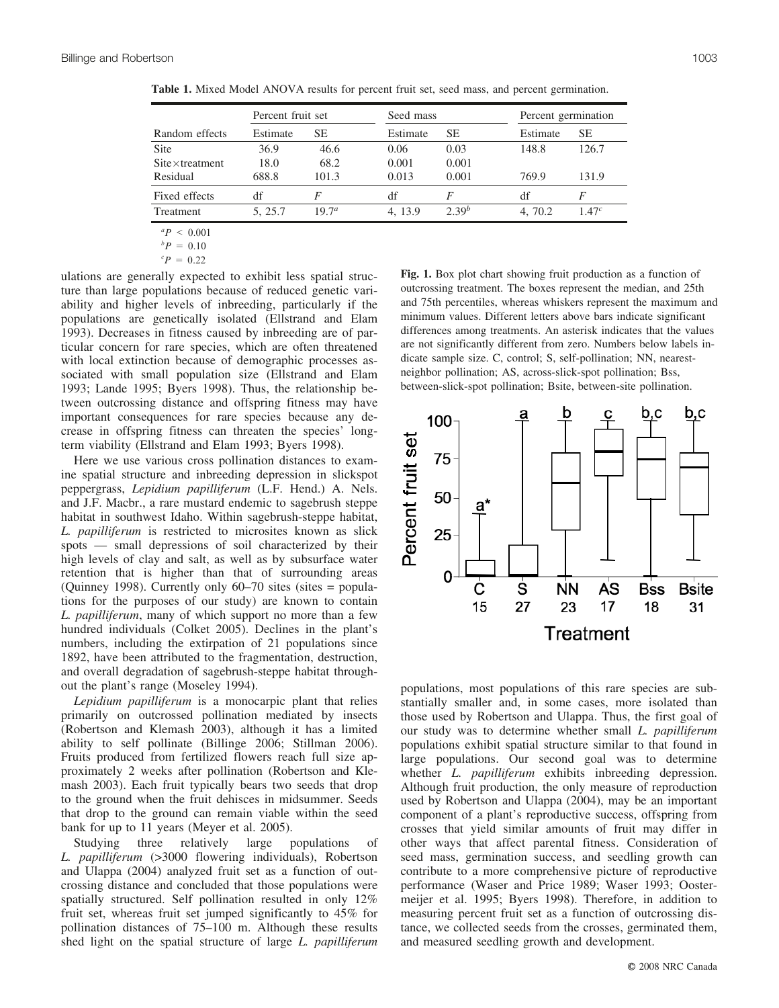|          |                   | Seed mass         |            | Percent germination |                   |
|----------|-------------------|-------------------|------------|---------------------|-------------------|
| Estimate | SЕ                | Estimate          | SЕ         | Estimate            | SЕ                |
| 36.9     | 46.6              | 0.06              | 0.03       | 148.8               | 126.7             |
| 18.0     | 68.2              | 0.001             | 0.001      |                     |                   |
| 688.8    | 101.3             | 0.013             | 0.001      | 769.9               | 131.9             |
| df       | F                 | df                | F          | df                  | F                 |
| 5.25.7   | 19.7 <sup>a</sup> | 4.13.9            | $2.39^{b}$ | 4.70.2              | 1.47 <sup>c</sup> |
|          |                   | Percent fruit set |            |                     |                   |

**Table 1.** Mixed Model ANOVA results for percent fruit set, seed mass, and percent germination.

 ${}^{a}P$  < 0.001

 ${}^bP = 0.10$ 

 ${}^{c}P = 0.22$ 

ulations are generally expected to exhibit less spatial structure than large populations because of reduced genetic variability and higher levels of inbreeding, particularly if the populations are genetically isolated (Ellstrand and Elam 1993). Decreases in fitness caused by inbreeding are of particular concern for rare species, which are often threatened with local extinction because of demographic processes associated with small population size (Ellstrand and Elam 1993; Lande 1995; Byers 1998). Thus, the relationship between outcrossing distance and offspring fitness may have important consequences for rare species because any decrease in offspring fitness can threaten the species' longterm viability (Ellstrand and Elam 1993; Byers 1998).

Here we use various cross pollination distances to examine spatial structure and inbreeding depression in slickspot peppergrass, *Lepidium papilliferum* (L.F. Hend.) A. Nels. and J.F. Macbr., a rare mustard endemic to sagebrush steppe habitat in southwest Idaho. Within sagebrush-steppe habitat, *L. papilliferum* is restricted to microsites known as slick spots — small depressions of soil characterized by their high levels of clay and salt, as well as by subsurface water retention that is higher than that of surrounding areas (Quinney 1998). Currently only 60–70 sites (sites = populations for the purposes of our study) are known to contain *L. papilliferum*, many of which support no more than a few hundred individuals (Colket 2005). Declines in the plant's numbers, including the extirpation of 21 populations since 1892, have been attributed to the fragmentation, destruction, and overall degradation of sagebrush-steppe habitat throughout the plant's range (Moseley 1994).

*Lepidium papilliferum* is a monocarpic plant that relies primarily on outcrossed pollination mediated by insects (Robertson and Klemash 2003), although it has a limited ability to self pollinate (Billinge 2006; Stillman 2006). Fruits produced from fertilized flowers reach full size approximately 2 weeks after pollination (Robertson and Klemash 2003). Each fruit typically bears two seeds that drop to the ground when the fruit dehisces in midsummer. Seeds that drop to the ground can remain viable within the seed bank for up to 11 years (Meyer et al. 2005).

Studying three relatively large populations of *L. papilliferum* (>3000 flowering individuals), Robertson and Ulappa (2004) analyzed fruit set as a function of outcrossing distance and concluded that those populations were spatially structured. Self pollination resulted in only 12% fruit set, whereas fruit set jumped significantly to 45% for pollination distances of 75–100 m. Although these results shed light on the spatial structure of large *L. papilliferum* **Fig. 1.** Box plot chart showing fruit production as a function of outcrossing treatment. The boxes represent the median, and 25th and 75th percentiles, whereas whiskers represent the maximum and minimum values. Different letters above bars indicate significant differences among treatments. An asterisk indicates that the values are not significantly different from zero. Numbers below labels indicate sample size. C, control; S, self-pollination; NN, nearestneighbor pollination; AS, across-slick-spot pollination; Bss, between-slick-spot pollination; Bsite, between-site pollination.



populations, most populations of this rare species are substantially smaller and, in some cases, more isolated than those used by Robertson and Ulappa. Thus, the first goal of our study was to determine whether small *L. papilliferum* populations exhibit spatial structure similar to that found in large populations. Our second goal was to determine whether *L. papilliferum* exhibits inbreeding depression. Although fruit production, the only measure of reproduction used by Robertson and Ulappa (2004), may be an important component of a plant's reproductive success, offspring from crosses that yield similar amounts of fruit may differ in other ways that affect parental fitness. Consideration of seed mass, germination success, and seedling growth can contribute to a more comprehensive picture of reproductive performance (Waser and Price 1989; Waser 1993; Oostermeijer et al. 1995; Byers 1998). Therefore, in addition to measuring percent fruit set as a function of outcrossing distance, we collected seeds from the crosses, germinated them, and measured seedling growth and development.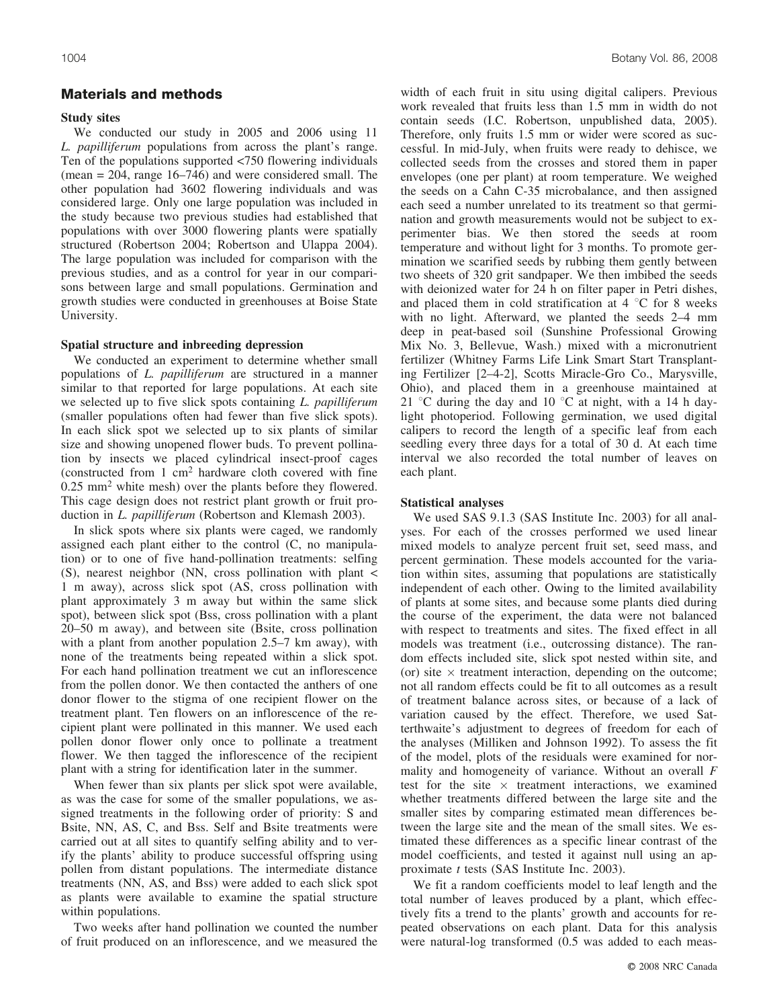## **Materials and methods**

## **Study sites**

We conducted our study in 2005 and 2006 using 11 *L. papilliferum* populations from across the plant's range. Ten of the populations supported <750 flowering individuals (mean = 204, range 16–746) and were considered small. The other population had 3602 flowering individuals and was considered large. Only one large population was included in the study because two previous studies had established that populations with over 3000 flowering plants were spatially structured (Robertson 2004; Robertson and Ulappa 2004). The large population was included for comparison with the previous studies, and as a control for year in our comparisons between large and small populations. Germination and growth studies were conducted in greenhouses at Boise State University.

#### **Spatial structure and inbreeding depression**

We conducted an experiment to determine whether small populations of *L. papilliferum* are structured in a manner similar to that reported for large populations. At each site we selected up to five slick spots containing *L. papilliferum* (smaller populations often had fewer than five slick spots). In each slick spot we selected up to six plants of similar size and showing unopened flower buds. To prevent pollination by insects we placed cylindrical insect-proof cages (constructed from 1 cm2 hardware cloth covered with fine 0.25 mm2 white mesh) over the plants before they flowered. This cage design does not restrict plant growth or fruit production in *L. papilliferum* (Robertson and Klemash 2003).

In slick spots where six plants were caged, we randomly assigned each plant either to the control (C, no manipulation) or to one of five hand-pollination treatments: selfing (S), nearest neighbor (NN, cross pollination with plant < 1 m away), across slick spot (AS, cross pollination with plant approximately 3 m away but within the same slick spot), between slick spot (Bss, cross pollination with a plant 20–50 m away), and between site (Bsite, cross pollination with a plant from another population 2.5–7 km away), with none of the treatments being repeated within a slick spot. For each hand pollination treatment we cut an inflorescence from the pollen donor. We then contacted the anthers of one donor flower to the stigma of one recipient flower on the treatment plant. Ten flowers on an inflorescence of the recipient plant were pollinated in this manner. We used each pollen donor flower only once to pollinate a treatment flower. We then tagged the inflorescence of the recipient plant with a string for identification later in the summer.

When fewer than six plants per slick spot were available, as was the case for some of the smaller populations, we assigned treatments in the following order of priority: S and Bsite, NN, AS, C, and Bss. Self and Bsite treatments were carried out at all sites to quantify selfing ability and to verify the plants' ability to produce successful offspring using pollen from distant populations. The intermediate distance treatments (NN, AS, and Bss) were added to each slick spot as plants were available to examine the spatial structure within populations.

Two weeks after hand pollination we counted the number of fruit produced on an inflorescence, and we measured the width of each fruit in situ using digital calipers. Previous work revealed that fruits less than 1.5 mm in width do not contain seeds (I.C. Robertson, unpublished data, 2005). Therefore, only fruits 1.5 mm or wider were scored as successful. In mid-July, when fruits were ready to dehisce, we collected seeds from the crosses and stored them in paper envelopes (one per plant) at room temperature. We weighed the seeds on a Cahn C-35 microbalance, and then assigned each seed a number unrelated to its treatment so that germination and growth measurements would not be subject to experimenter bias. We then stored the seeds at room temperature and without light for 3 months. To promote germination we scarified seeds by rubbing them gently between two sheets of 320 grit sandpaper. We then imbibed the seeds with deionized water for 24 h on filter paper in Petri dishes, and placed them in cold stratification at  $4 \degree C$  for 8 weeks with no light. Afterward, we planted the seeds 2–4 mm deep in peat-based soil (Sunshine Professional Growing Mix No. 3, Bellevue, Wash.) mixed with a micronutrient fertilizer (Whitney Farms Life Link Smart Start Transplanting Fertilizer [2–4-2], Scotts Miracle-Gro Co., Marysville, Ohio), and placed them in a greenhouse maintained at 21 °C during the day and 10 °C at night, with a 14 h daylight photoperiod. Following germination, we used digital calipers to record the length of a specific leaf from each seedling every three days for a total of 30 d. At each time interval we also recorded the total number of leaves on each plant.

#### **Statistical analyses**

We used SAS 9.1.3 (SAS Institute Inc. 2003) for all analyses. For each of the crosses performed we used linear mixed models to analyze percent fruit set, seed mass, and percent germination. These models accounted for the variation within sites, assuming that populations are statistically independent of each other. Owing to the limited availability of plants at some sites, and because some plants died during the course of the experiment, the data were not balanced with respect to treatments and sites. The fixed effect in all models was treatment (i.e., outcrossing distance). The random effects included site, slick spot nested within site, and (or) site  $\times$  treatment interaction, depending on the outcome; not all random effects could be fit to all outcomes as a result of treatment balance across sites, or because of a lack of variation caused by the effect. Therefore, we used Satterthwaite's adjustment to degrees of freedom for each of the analyses (Milliken and Johnson 1992). To assess the fit of the model, plots of the residuals were examined for normality and homogeneity of variance. Without an overall *F* test for the site  $\times$  treatment interactions, we examined whether treatments differed between the large site and the smaller sites by comparing estimated mean differences between the large site and the mean of the small sites. We estimated these differences as a specific linear contrast of the model coefficients, and tested it against null using an approximate *t* tests (SAS Institute Inc. 2003).

We fit a random coefficients model to leaf length and the total number of leaves produced by a plant, which effectively fits a trend to the plants' growth and accounts for repeated observations on each plant. Data for this analysis were natural-log transformed (0.5 was added to each meas-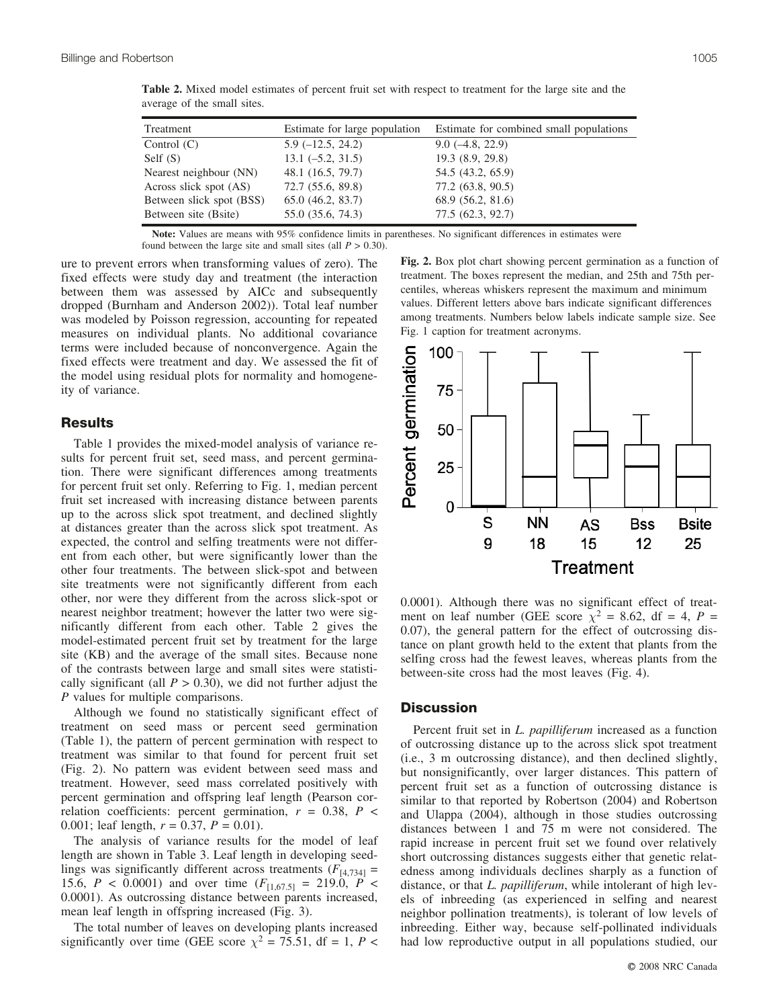| Treatment                | Estimate for large population | Estimate for combined small populations |
|--------------------------|-------------------------------|-----------------------------------------|
| Control $(C)$            | $5.9(-12.5, 24.2)$            | $9.0(-4.8, 22.9)$                       |
| Self $(S)$               | $13.1(-5.2, 31.5)$            | 19.3(8.9, 29.8)                         |
| Nearest neighbour (NN)   | 48.1 (16.5, 79.7)             | 54.5 (43.2, 65.9)                       |
| Across slick spot (AS)   | 72.7 (55.6, 89.8)             | 77.2 (63.8, 90.5)                       |
| Between slick spot (BSS) | 65.0(46.2, 83.7)              | 68.9 (56.2, 81.6)                       |
| Between site (Bsite)     | 55.0 (35.6, 74.3)             | 77.5 (62.3, 92.7)                       |

**Table 2.** Mixed model estimates of percent fruit set with respect to treatment for the large site and the average of the small sites.

**Note:** Values are means with 95% confidence limits in parentheses. No significant differences in estimates were found between the large site and small sites (all  $P > 0.30$ ).

ure to prevent errors when transforming values of zero). The fixed effects were study day and treatment (the interaction between them was assessed by AICc and subsequently dropped (Burnham and Anderson 2002)). Total leaf number was modeled by Poisson regression, accounting for repeated measures on individual plants. No additional covariance terms were included because of nonconvergence. Again the fixed effects were treatment and day. We assessed the fit of the model using residual plots for normality and homogeneity of variance.

## **Results**

Table 1 provides the mixed-model analysis of variance results for percent fruit set, seed mass, and percent germination. There were significant differences among treatments for percent fruit set only. Referring to Fig. 1, median percent fruit set increased with increasing distance between parents up to the across slick spot treatment, and declined slightly at distances greater than the across slick spot treatment. As expected, the control and selfing treatments were not different from each other, but were significantly lower than the other four treatments. The between slick-spot and between site treatments were not significantly different from each other, nor were they different from the across slick-spot or nearest neighbor treatment; however the latter two were significantly different from each other. Table 2 gives the model-estimated percent fruit set by treatment for the large site (KB) and the average of the small sites. Because none of the contrasts between large and small sites were statistically significant (all  $P > 0.30$ ), we did not further adjust the *P* values for multiple comparisons.

Although we found no statistically significant effect of treatment on seed mass or percent seed germination (Table 1), the pattern of percent germination with respect to treatment was similar to that found for percent fruit set (Fig. 2). No pattern was evident between seed mass and treatment. However, seed mass correlated positively with percent germination and offspring leaf length (Pearson correlation coefficients: percent germination, *r* = 0.38, *P* < 0.001; leaf length,  $r = 0.37$ ,  $P = 0.01$ ).

The analysis of variance results for the model of leaf length are shown in Table 3. Leaf length in developing seedlings was significantly different across treatments  $(F<sub>[4,734]</sub> =$ 15.6,  $P < 0.0001$ ) and over time  $(F_{[1,67.5]} = 219.0, P <$ 0.0001). As outcrossing distance between parents increased, mean leaf length in offspring increased (Fig. 3).

The total number of leaves on developing plants increased significantly over time (GEE score  $\chi^2$  = 75.51, df = 1, *P* < **Fig. 2.** Box plot chart showing percent germination as a function of treatment. The boxes represent the median, and 25th and 75th percentiles, whereas whiskers represent the maximum and minimum values. Different letters above bars indicate significant differences among treatments. Numbers below labels indicate sample size. See Fig. 1 caption for treatment acronyms.



0.0001). Although there was no significant effect of treatment on leaf number (GEE score  $\chi^2$  = 8.62, df = 4, P = 0.07), the general pattern for the effect of outcrossing distance on plant growth held to the extent that plants from the selfing cross had the fewest leaves, whereas plants from the between-site cross had the most leaves (Fig. 4).

### **Discussion**

Percent fruit set in *L. papilliferum* increased as a function of outcrossing distance up to the across slick spot treatment (i.e., 3 m outcrossing distance), and then declined slightly, but nonsignificantly, over larger distances. This pattern of percent fruit set as a function of outcrossing distance is similar to that reported by Robertson (2004) and Robertson and Ulappa (2004), although in those studies outcrossing distances between 1 and 75 m were not considered. The rapid increase in percent fruit set we found over relatively short outcrossing distances suggests either that genetic relatedness among individuals declines sharply as a function of distance, or that *L. papilliferum*, while intolerant of high levels of inbreeding (as experienced in selfing and nearest neighbor pollination treatments), is tolerant of low levels of inbreeding. Either way, because self-pollinated individuals had low reproductive output in all populations studied, our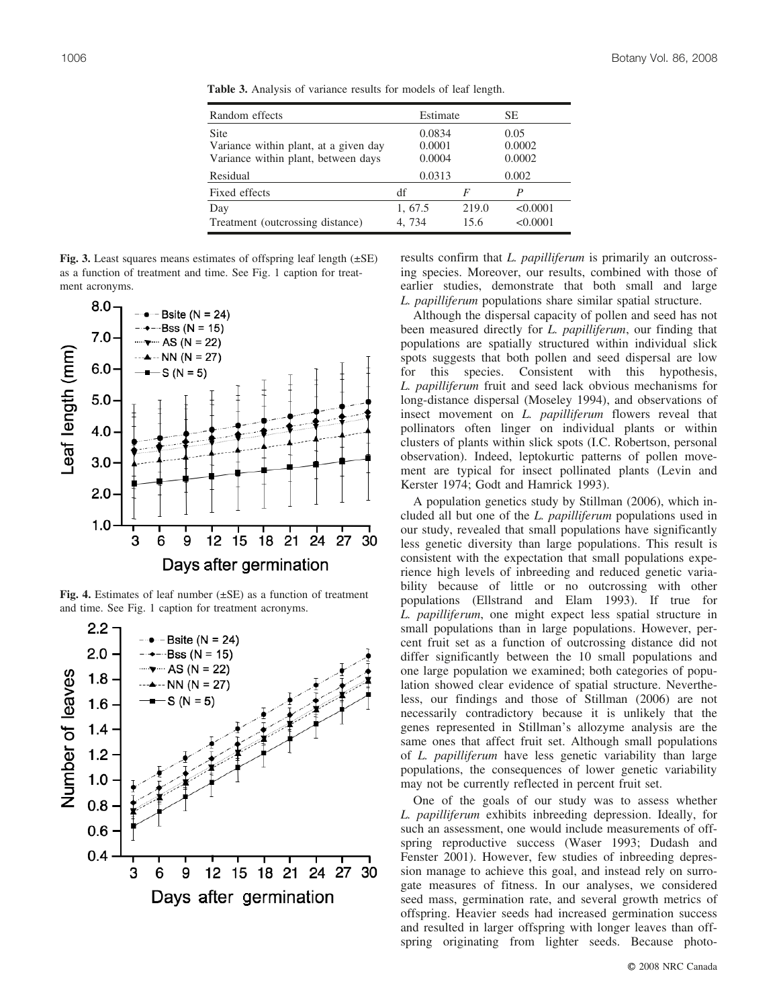| Random effects                                                                              | Estimate                   |               | SЕ                       |  |
|---------------------------------------------------------------------------------------------|----------------------------|---------------|--------------------------|--|
| <b>Site</b><br>Variance within plant, at a given day<br>Variance within plant, between days | 0.0834<br>0.0001<br>0.0004 |               | 0.05<br>0.0002<br>0.0002 |  |
| Residual                                                                                    | 0.0313                     |               | 0.002                    |  |
| Fixed effects                                                                               | df                         |               | P                        |  |
| Day<br>Treatment (outcrossing distance)                                                     | 1, 67.5<br>4.734           | 219.0<br>15.6 | < 0.0001<br>< 0.0001     |  |

**Table 3.** Analysis of variance results for models of leaf length.

**Fig. 3.** Least squares means estimates of offspring leaf length (±SE) as a function of treatment and time. See Fig. 1 caption for treatment acronyms.



**Fig. 4.** Estimates of leaf number (±SE) as a function of treatment and time. See Fig. 1 caption for treatment acronyms.



results confirm that *L. papilliferum* is primarily an outcrossing species. Moreover, our results, combined with those of earlier studies, demonstrate that both small and large *L. papilliferum* populations share similar spatial structure.

Although the dispersal capacity of pollen and seed has not been measured directly for *L. papilliferum*, our finding that populations are spatially structured within individual slick spots suggests that both pollen and seed dispersal are low for this species. Consistent with this hypothesis, *L. papilliferum* fruit and seed lack obvious mechanisms for long-distance dispersal (Moseley 1994), and observations of insect movement on *L. papilliferum* flowers reveal that pollinators often linger on individual plants or within clusters of plants within slick spots (I.C. Robertson, personal observation). Indeed, leptokurtic patterns of pollen movement are typical for insect pollinated plants (Levin and Kerster 1974; Godt and Hamrick 1993).

A population genetics study by Stillman (2006), which included all but one of the *L. papilliferum* populations used in our study, revealed that small populations have significantly less genetic diversity than large populations. This result is consistent with the expectation that small populations experience high levels of inbreeding and reduced genetic variability because of little or no outcrossing with other populations (Ellstrand and Elam 1993). If true for *L. papilliferum*, one might expect less spatial structure in small populations than in large populations. However, percent fruit set as a function of outcrossing distance did not differ significantly between the 10 small populations and one large population we examined; both categories of population showed clear evidence of spatial structure. Nevertheless, our findings and those of Stillman (2006) are not necessarily contradictory because it is unlikely that the genes represented in Stillman's allozyme analysis are the same ones that affect fruit set. Although small populations of *L. papilliferum* have less genetic variability than large populations, the consequences of lower genetic variability may not be currently reflected in percent fruit set.

One of the goals of our study was to assess whether *L. papilliferum* exhibits inbreeding depression. Ideally, for such an assessment, one would include measurements of offspring reproductive success (Waser 1993; Dudash and Fenster 2001). However, few studies of inbreeding depression manage to achieve this goal, and instead rely on surrogate measures of fitness. In our analyses, we considered seed mass, germination rate, and several growth metrics of offspring. Heavier seeds had increased germination success and resulted in larger offspring with longer leaves than offspring originating from lighter seeds. Because photo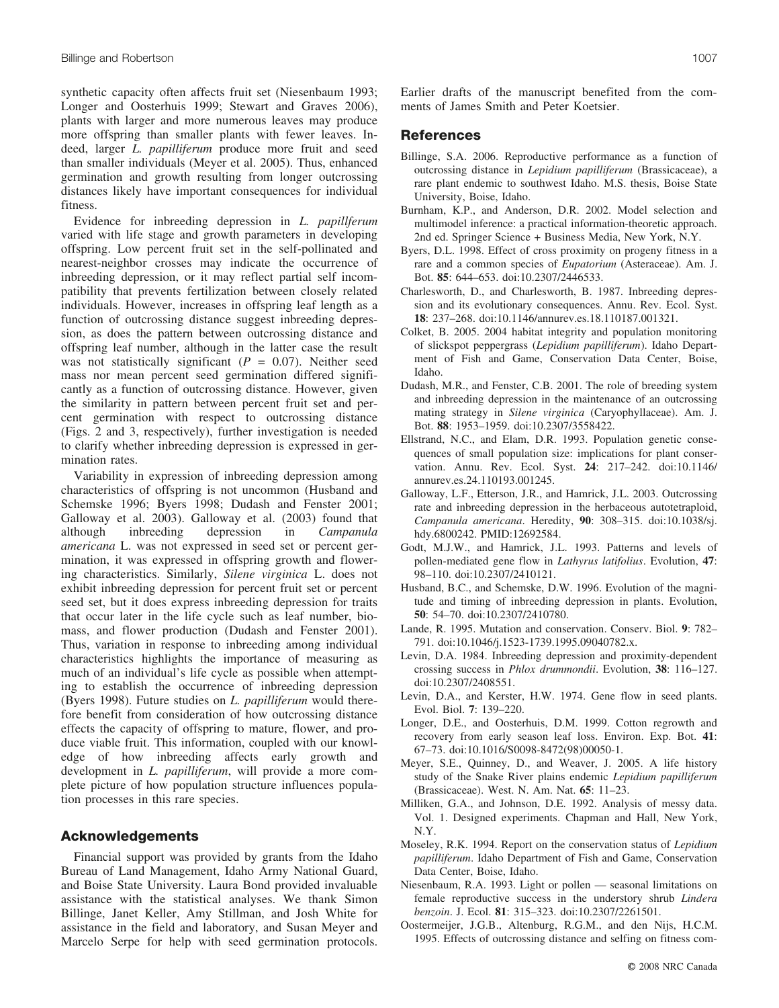synthetic capacity often affects fruit set (Niesenbaum 1993; Longer and Oosterhuis 1999; Stewart and Graves 2006), plants with larger and more numerous leaves may produce more offspring than smaller plants with fewer leaves. Indeed, larger *L. papilliferum* produce more fruit and seed than smaller individuals (Meyer et al. 2005). Thus, enhanced germination and growth resulting from longer outcrossing distances likely have important consequences for individual fitness.

Evidence for inbreeding depression in *L. papillferum* varied with life stage and growth parameters in developing offspring. Low percent fruit set in the self-pollinated and nearest-neighbor crosses may indicate the occurrence of inbreeding depression, or it may reflect partial self incompatibility that prevents fertilization between closely related individuals. However, increases in offspring leaf length as a function of outcrossing distance suggest inbreeding depression, as does the pattern between outcrossing distance and offspring leaf number, although in the latter case the result was not statistically significant  $(P = 0.07)$ . Neither seed mass nor mean percent seed germination differed significantly as a function of outcrossing distance. However, given the similarity in pattern between percent fruit set and percent germination with respect to outcrossing distance (Figs. 2 and 3, respectively), further investigation is needed to clarify whether inbreeding depression is expressed in germination rates.

Variability in expression of inbreeding depression among characteristics of offspring is not uncommon (Husband and Schemske 1996; Byers 1998; Dudash and Fenster 2001; Galloway et al. 2003). Galloway et al. (2003) found that although inbreeding depression in *Campanula americana* L. was not expressed in seed set or percent germination, it was expressed in offspring growth and flowering characteristics. Similarly, *Silene virginica* L. does not exhibit inbreeding depression for percent fruit set or percent seed set, but it does express inbreeding depression for traits that occur later in the life cycle such as leaf number, biomass, and flower production (Dudash and Fenster 2001). Thus, variation in response to inbreeding among individual characteristics highlights the importance of measuring as much of an individual's life cycle as possible when attempting to establish the occurrence of inbreeding depression (Byers 1998). Future studies on *L. papilliferum* would therefore benefit from consideration of how outcrossing distance effects the capacity of offspring to mature, flower, and produce viable fruit. This information, coupled with our knowledge of how inbreeding affects early growth and development in *L. papilliferum*, will provide a more complete picture of how population structure influences population processes in this rare species.

#### **Acknowledgements**

Financial support was provided by grants from the Idaho Bureau of Land Management, Idaho Army National Guard, and Boise State University. Laura Bond provided invaluable assistance with the statistical analyses. We thank Simon Billinge, Janet Keller, Amy Stillman, and Josh White for assistance in the field and laboratory, and Susan Meyer and Marcelo Serpe for help with seed germination protocols. Earlier drafts of the manuscript benefited from the comments of James Smith and Peter Koetsier.

#### **References**

- Billinge, S.A. 2006. Reproductive performance as a function of outcrossing distance in *Lepidium papilliferum* (Brassicaceae), a rare plant endemic to southwest Idaho. M.S. thesis, Boise State University, Boise, Idaho.
- Burnham, K.P., and Anderson, D.R. 2002. Model selection and multimodel inference: a practical information-theoretic approach. 2nd ed. Springer Science + Business Media, New York, N.Y.
- Byers, D.L. 1998. Effect of cross proximity on progeny fitness in a rare and a common species of *Eupatorium* (Asteraceae). Am. J. Bot. **85**: 644–653. doi:10.2307/2446533.
- Charlesworth, D., and Charlesworth, B. 1987. Inbreeding depression and its evolutionary consequences. Annu. Rev. Ecol. Syst. **18**: 237–268. doi:10.1146/annurev.es.18.110187.001321.
- Colket, B. 2005. 2004 habitat integrity and population monitoring of slickspot peppergrass (*Lepidium papilliferum*). Idaho Department of Fish and Game, Conservation Data Center, Boise, Idaho.
- Dudash, M.R., and Fenster, C.B. 2001. The role of breeding system and inbreeding depression in the maintenance of an outcrossing mating strategy in *Silene virginica* (Caryophyllaceae). Am. J. Bot. **88**: 1953–1959. doi:10.2307/3558422.
- Ellstrand, N.C., and Elam, D.R. 1993. Population genetic consequences of small population size: implications for plant conservation. Annu. Rev. Ecol. Syst. **24**: 217–242. doi:10.1146/ annurev.es.24.110193.001245.
- Galloway, L.F., Etterson, J.R., and Hamrick, J.L. 2003. Outcrossing rate and inbreeding depression in the herbaceous autotetraploid, *Campanula americana*. Heredity, **90**: 308–315. doi:10.1038/sj. hdy.6800242. PMID:12692584.
- Godt, M.J.W., and Hamrick, J.L. 1993. Patterns and levels of pollen-mediated gene flow in *Lathyrus latifolius*. Evolution, **47**: 98–110. doi:10.2307/2410121.
- Husband, B.C., and Schemske, D.W. 1996. Evolution of the magnitude and timing of inbreeding depression in plants. Evolution, **50**: 54–70. doi:10.2307/2410780.
- Lande, R. 1995. Mutation and conservation. Conserv. Biol. **9**: 782– 791. doi:10.1046/j.1523-1739.1995.09040782.x.
- Levin, D.A. 1984. Inbreeding depression and proximity-dependent crossing success in *Phlox drummondii*. Evolution, **38**: 116–127. doi:10.2307/2408551.
- Levin, D.A., and Kerster, H.W. 1974. Gene flow in seed plants. Evol. Biol. **7**: 139–220.
- Longer, D.E., and Oosterhuis, D.M. 1999. Cotton regrowth and recovery from early season leaf loss. Environ. Exp. Bot. **41**: 67–73. doi:10.1016/S0098-8472(98)00050-1.
- Meyer, S.E., Quinney, D., and Weaver, J. 2005. A life history study of the Snake River plains endemic *Lepidium papilliferum* (Brassicaceae). West. N. Am. Nat. **65**: 11–23.
- Milliken, G.A., and Johnson, D.E. 1992. Analysis of messy data. Vol. 1. Designed experiments. Chapman and Hall, New York, N.Y.
- Moseley, R.K. 1994. Report on the conservation status of *Lepidium papilliferum*. Idaho Department of Fish and Game, Conservation Data Center, Boise, Idaho.
- Niesenbaum, R.A. 1993. Light or pollen seasonal limitations on female reproductive success in the understory shrub *Lindera benzoin*. J. Ecol. **81**: 315–323. doi:10.2307/2261501.
- Oostermeijer, J.G.B., Altenburg, R.G.M., and den Nijs, H.C.M. 1995. Effects of outcrossing distance and selfing on fitness com-